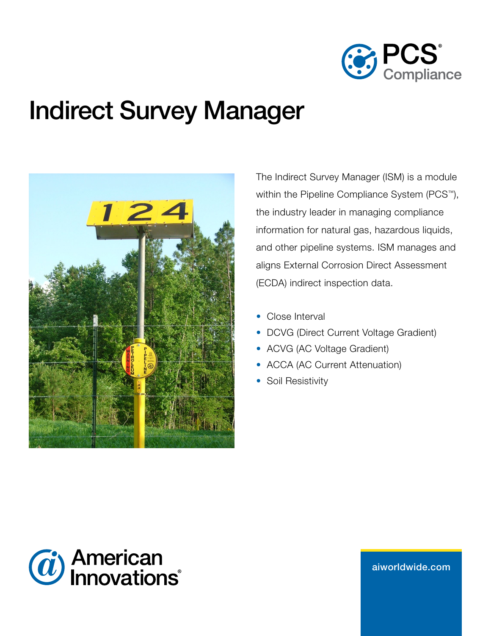

# Indirect Survey Manager



The Indirect Survey Manager (ISM) is a module within the Pipeline Compliance System (PCS™), the industry leader in managing compliance information for natural gas, hazardous liquids, and other pipeline systems. ISM manages and aligns External Corrosion Direct Assessment (ECDA) indirect inspection data.

- Close Interval
- DCVG (Direct Current Voltage Gradient)
- ACVG (AC Voltage Gradient)
- ACCA (AC Current Attenuation)
- Soil Resistivity



aiw[orldwide.com](http://aiworldwide.com)